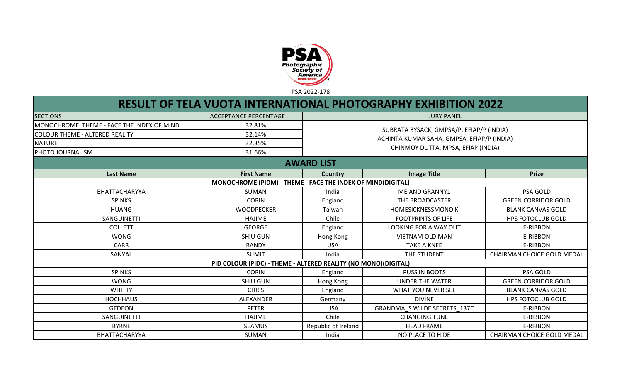

## **RESULT OF TELA VUOTA INTERNATIONAL PHOTOGRAPHY EXHIBITION 2022**

| <b>SECTIONS</b>                           | <b>ACCEPTANCE PERCENTAGE</b>                                   | <b>JURY PANEL</b>   |                                            |                            |  |  |
|-------------------------------------------|----------------------------------------------------------------|---------------------|--------------------------------------------|----------------------------|--|--|
| MONOCHROME THEME - FACE THE INDEX OF MIND | 32.81%                                                         |                     |                                            |                            |  |  |
| COLOUR THEME - ALTERED REALITY            | 32.14%                                                         |                     | SUBRATA BYSACK, GMPSA/P, EFIAP/P (INDIA)   |                            |  |  |
| <b>NATURE</b>                             | 32.35%                                                         |                     | ACHINTA KUMAR SAHA, GMPSA, EFIAP/P (INDIA) |                            |  |  |
| PHOTO JOURNALISM                          | 31.66%                                                         |                     | CHINMOY DUTTA, MPSA, EFIAP (INDIA)         |                            |  |  |
|                                           |                                                                | <b>AWARD LIST</b>   |                                            |                            |  |  |
| <b>Last Name</b>                          | <b>First Name</b>                                              | Country             | <b>Image Title</b>                         | <b>Prize</b>               |  |  |
|                                           | MONOCHROME (PIDM) - THEME - FACE THE INDEX OF MIND(DIGITAL)    |                     |                                            |                            |  |  |
| BHATTACHARYYA                             | <b>SUMAN</b>                                                   | India               | ME AND GRANNY1                             | PSA GOLD                   |  |  |
| <b>SPINKS</b>                             | <b>CORIN</b>                                                   | England             | THE BROADCASTER                            | <b>GREEN CORRIDOR GOLD</b> |  |  |
| <b>HUANG</b>                              | <b>WOODPECKER</b>                                              | Taiwan              | HOMESICKNESSMONO K                         | <b>BLANK CANVAS GOLD</b>   |  |  |
| SANGUINETTI                               | <b>HAJIME</b>                                                  | Chile               | <b>FOOTPRINTS OF LIFE</b>                  | <b>HPS FOTOCLUB GOLD</b>   |  |  |
| <b>COLLETT</b>                            | <b>GEORGE</b>                                                  | England             | <b>LOOKING FOR A WAY OUT</b>               | E-RIBBON                   |  |  |
| <b>WONG</b>                               | <b>SHIU GUN</b>                                                | Hong Kong           | <b>VIETNAM OLD MAN</b>                     | E-RIBBON                   |  |  |
| <b>CARR</b>                               | <b>RANDY</b>                                                   | <b>USA</b>          | <b>TAKE A KNEE</b>                         | E-RIBBON                   |  |  |
| SANYAL                                    | <b>SUMIT</b>                                                   | India               | THE STUDENT                                | CHAIRMAN CHOICE GOLD MEDAL |  |  |
|                                           | PID COLOUR (PIDC) - THEME - ALTERED REALITY (NO MONO)(DIGITAL) |                     |                                            |                            |  |  |
| <b>SPINKS</b>                             | <b>CORIN</b>                                                   | England             | PUSS IN BOOTS                              | PSA GOLD                   |  |  |
| <b>WONG</b>                               | <b>SHIU GUN</b>                                                | Hong Kong           | <b>UNDER THE WATER</b>                     | <b>GREEN CORRIDOR GOLD</b> |  |  |
| <b>WHITTY</b>                             | <b>CHRIS</b>                                                   | England             | <b>WHAT YOU NEVER SEE</b>                  | <b>BLANK CANVAS GOLD</b>   |  |  |
| <b>HOCHHAUS</b>                           | ALEXANDER                                                      | Germany             | <b>DIVINE</b>                              | <b>HPS FOTOCLUB GOLD</b>   |  |  |
| <b>GEDEON</b>                             | <b>PETER</b>                                                   | <b>USA</b>          | GRANDMA S WILDE SECRETS 137C               | E-RIBBON                   |  |  |
| SANGUINETTI                               | <b>HAJIME</b>                                                  | Chile               | <b>CHANGING TUNE</b>                       | E-RIBBON                   |  |  |
| <b>BYRNE</b>                              | <b>SEAMUS</b>                                                  | Republic of Ireland | <b>HEAD FRAME</b>                          | E-RIBBON                   |  |  |
| BHATTACHARYYA                             | SUMAN                                                          | India               | NO PLACE TO HIDE                           | CHAIRMAN CHOICE GOLD MEDAL |  |  |
|                                           |                                                                |                     |                                            |                            |  |  |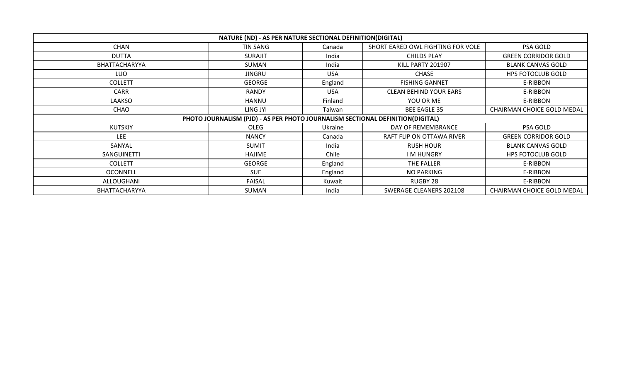|                    | NATURE (ND) - AS PER NATURE SECTIONAL DEFINITION(DIGITAL)                      |            |                                   |                                   |
|--------------------|--------------------------------------------------------------------------------|------------|-----------------------------------|-----------------------------------|
| <b>CHAN</b>        | TIN SANG                                                                       | Canada     | SHORT EARED OWL FIGHTING FOR VOLE | PSA GOLD                          |
| <b>DUTTA</b>       | <b>SURAJIT</b>                                                                 | India      | CHILDS PLAY                       | <b>GREEN CORRIDOR GOLD</b>        |
| BHATTACHARYYA      | SUMAN                                                                          | India      | KILL PARTY 201907                 | <b>BLANK CANVAS GOLD</b>          |
| LUO                | <b>JINGRU</b>                                                                  | <b>USA</b> | <b>CHASE</b>                      | <b>HPS FOTOCLUB GOLD</b>          |
| <b>COLLETT</b>     | <b>GEORGE</b>                                                                  | England    | <b>FISHING GANNET</b>             | E-RIBBON                          |
| <b>CARR</b>        | <b>RANDY</b>                                                                   | <b>USA</b> | <b>CLEAN BEHIND YOUR EARS</b>     | E-RIBBON                          |
| LAAKSO             | HANNU                                                                          | Finland    | YOU OR ME                         | E-RIBBON                          |
| CHAO               | LING JYI                                                                       | Taiwan     | <b>BEE EAGLE 35</b>               | <b>CHAIRMAN CHOICE GOLD MEDAL</b> |
|                    | PHOTO JOURNALISM (PJD) - AS PER PHOTO JOURNALISM SECTIONAL DEFINITION(DIGITAL) |            |                                   |                                   |
| <b>KUTSKIY</b>     | OLEG                                                                           | Ukraine    | DAY OF REMEMBRANCE                | PSA GOLD                          |
| <b>LEE</b>         | <b>NANCY</b>                                                                   | Canada     | RAFT FLIP ON OTTAWA RIVER         | <b>GREEN CORRIDOR GOLD</b>        |
| SANYAL             | <b>SUMIT</b>                                                                   | India      | <b>RUSH HOUR</b>                  | <b>BLANK CANVAS GOLD</b>          |
| <b>SANGUINETTI</b> | HAJIME                                                                         | Chile      | I M HUNGRY                        | <b>HPS FOTOCLUB GOLD</b>          |
| <b>COLLETT</b>     | <b>GEORGE</b>                                                                  | England    | THE FALLER                        | E-RIBBON                          |
| <b>OCONNELL</b>    | <b>SUE</b>                                                                     | England    | NO PARKING                        | E-RIBBON                          |
| ALLOUGHANI         | FAISAL                                                                         | Kuwait     | RUGBY 28                          | E-RIBBON                          |
| BHATTACHARYYA      | SUMAN                                                                          | India      | SWERAGE CLEANERS 202108           | CHAIRMAN CHOICE GOLD MEDAL        |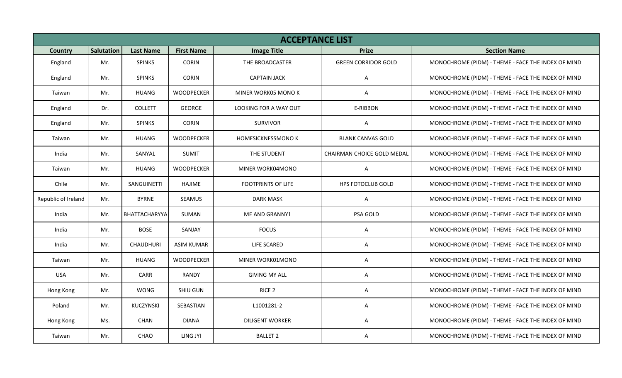|                     |            |                  |                   | <b>ACCEPTANCE LIST</b>    |                            |                                                    |
|---------------------|------------|------------------|-------------------|---------------------------|----------------------------|----------------------------------------------------|
| <b>Country</b>      | Salutation | <b>Last Name</b> | <b>First Name</b> | <b>Image Title</b>        | <b>Prize</b>               | <b>Section Name</b>                                |
| England             | Mr.        | <b>SPINKS</b>    | <b>CORIN</b>      | THE BROADCASTER           | <b>GREEN CORRIDOR GOLD</b> | MONOCHROME (PIDM) - THEME - FACE THE INDEX OF MIND |
| England             | Mr.        | <b>SPINKS</b>    | <b>CORIN</b>      | <b>CAPTAIN JACK</b>       | A                          | MONOCHROME (PIDM) - THEME - FACE THE INDEX OF MIND |
| Taiwan              | Mr.        | <b>HUANG</b>     | <b>WOODPECKER</b> | MINER WORK05 MONO K       | $\mathsf{A}$               | MONOCHROME (PIDM) - THEME - FACE THE INDEX OF MIND |
| England             | Dr.        | <b>COLLETT</b>   | GEORGE            | LOOKING FOR A WAY OUT     | E-RIBBON                   | MONOCHROME (PIDM) - THEME - FACE THE INDEX OF MIND |
| England             | Mr.        | <b>SPINKS</b>    | <b>CORIN</b>      | <b>SURVIVOR</b>           | A                          | MONOCHROME (PIDM) - THEME - FACE THE INDEX OF MIND |
| Taiwan              | Mr.        | <b>HUANG</b>     | <b>WOODPECKER</b> | HOMESICKNESSMONO K        | <b>BLANK CANVAS GOLD</b>   | MONOCHROME (PIDM) - THEME - FACE THE INDEX OF MIND |
| India               | Mr.        | SANYAL           | SUMIT             | THE STUDENT               | CHAIRMAN CHOICE GOLD MEDAL | MONOCHROME (PIDM) - THEME - FACE THE INDEX OF MIND |
| Taiwan              | Mr.        | <b>HUANG</b>     | WOODPECKER        | MINER WORK04MONO          | A                          | MONOCHROME (PIDM) - THEME - FACE THE INDEX OF MIND |
| Chile               | Mr.        | SANGUINETTI      | HAJIME            | <b>FOOTPRINTS OF LIFE</b> | HPS FOTOCLUB GOLD          | MONOCHROME (PIDM) - THEME - FACE THE INDEX OF MIND |
| Republic of Ireland | Mr.        | <b>BYRNE</b>     | SEAMUS            | <b>DARK MASK</b>          | A                          | MONOCHROME (PIDM) - THEME - FACE THE INDEX OF MIND |
| India               | Mr.        | BHATTACHARYYA    | SUMAN             | ME AND GRANNY1            | PSA GOLD                   | MONOCHROME (PIDM) - THEME - FACE THE INDEX OF MIND |
| India               | Mr.        | <b>BOSE</b>      | SANJAY            | <b>FOCUS</b>              | A                          | MONOCHROME (PIDM) - THEME - FACE THE INDEX OF MIND |
| India               | Mr.        | CHAUDHURI        | ASIM KUMAR        | LIFE SCARED               | A                          | MONOCHROME (PIDM) - THEME - FACE THE INDEX OF MIND |
| Taiwan              | Mr.        | <b>HUANG</b>     | <b>WOODPECKER</b> | MINER WORK01MONO          | Α                          | MONOCHROME (PIDM) - THEME - FACE THE INDEX OF MIND |
| <b>USA</b>          | Mr.        | CARR             | RANDY             | <b>GIVING MY ALL</b>      | Α                          | MONOCHROME (PIDM) - THEME - FACE THE INDEX OF MIND |
| Hong Kong           | Mr.        | <b>WONG</b>      | SHIU GUN          | RICE <sub>2</sub>         | Α                          | MONOCHROME (PIDM) - THEME - FACE THE INDEX OF MIND |
| Poland              | Mr.        | <b>KUCZYNSKI</b> | SEBASTIAN         | L1001281-2                | Α                          | MONOCHROME (PIDM) - THEME - FACE THE INDEX OF MIND |
| Hong Kong           | Ms.        | <b>CHAN</b>      | <b>DIANA</b>      | <b>DILIGENT WORKER</b>    | A                          | MONOCHROME (PIDM) - THEME - FACE THE INDEX OF MIND |
| Taiwan              | Mr.        | CHAO             | LING JYI          | <b>BALLET 2</b>           | Α                          | MONOCHROME (PIDM) - THEME - FACE THE INDEX OF MIND |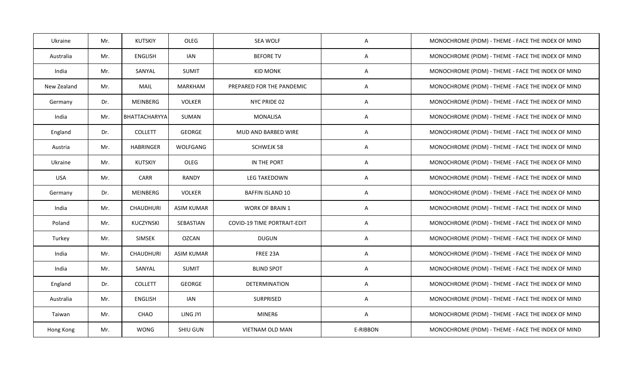| Ukraine     | Mr. | <b>KUTSKIY</b>   | OLEG              | SEA WOLF                           | A        | MONOCHROME (PIDM) - THEME - FACE THE INDEX OF MIND |
|-------------|-----|------------------|-------------------|------------------------------------|----------|----------------------------------------------------|
| Australia   | Mr. | ENGLISH          | IAN               | <b>BEFORE TV</b>                   | A        | MONOCHROME (PIDM) - THEME - FACE THE INDEX OF MIND |
| India       | Mr. | SANYAL           | <b>SUMIT</b>      | <b>KID MONK</b>                    | A        | MONOCHROME (PIDM) - THEME - FACE THE INDEX OF MIND |
| New Zealand | Mr. | <b>MAIL</b>      | <b>MARKHAM</b>    | PREPARED FOR THE PANDEMIC          | Α        | MONOCHROME (PIDM) - THEME - FACE THE INDEX OF MIND |
| Germany     | Dr. | MEINBERG         | <b>VOLKER</b>     | NYC PRIDE 02                       | Α        | MONOCHROME (PIDM) - THEME - FACE THE INDEX OF MIND |
| India       | Mr. | BHATTACHARYYA    | SUMAN             | <b>MONALISA</b>                    | A        | MONOCHROME (PIDM) - THEME - FACE THE INDEX OF MIND |
| England     | Dr. | <b>COLLETT</b>   | <b>GEORGE</b>     | MUD AND BARBED WIRE                | A        | MONOCHROME (PIDM) - THEME - FACE THE INDEX OF MIND |
| Austria     | Mr. | <b>HABRINGER</b> | WOLFGANG          | <b>SCHWEJK 58</b>                  | A        | MONOCHROME (PIDM) - THEME - FACE THE INDEX OF MIND |
| Ukraine     | Mr. | KUTSKIY          | OLEG              | IN THE PORT                        | Α        | MONOCHROME (PIDM) - THEME - FACE THE INDEX OF MIND |
| <b>USA</b>  | Mr. | CARR             | <b>RANDY</b>      | LEG TAKEDOWN                       | A        | MONOCHROME (PIDM) - THEME - FACE THE INDEX OF MIND |
| Germany     | Dr. | MEINBERG         | <b>VOLKER</b>     | <b>BAFFIN ISLAND 10</b>            | A        | MONOCHROME (PIDM) - THEME - FACE THE INDEX OF MIND |
| India       | Mr. | CHAUDHURI        | <b>ASIM KUMAR</b> | <b>WORK OF BRAIN 1</b>             | A        | MONOCHROME (PIDM) - THEME - FACE THE INDEX OF MIND |
| Poland      | Mr. | KUCZYNSKI        | SEBASTIAN         | <b>COVID-19 TIME PORTRAIT-EDIT</b> | A        | MONOCHROME (PIDM) - THEME - FACE THE INDEX OF MIND |
| Turkey      | Mr. | <b>SIMSEK</b>    | <b>OZCAN</b>      | <b>DUGUN</b>                       | Α        | MONOCHROME (PIDM) - THEME - FACE THE INDEX OF MIND |
| India       | Mr. | CHAUDHURI        | <b>ASIM KUMAR</b> | FREE 23A                           | Α        | MONOCHROME (PIDM) - THEME - FACE THE INDEX OF MIND |
| India       | Mr. | SANYAL           | <b>SUMIT</b>      | <b>BLIND SPOT</b>                  | A        | MONOCHROME (PIDM) - THEME - FACE THE INDEX OF MIND |
| England     | Dr. | <b>COLLETT</b>   | GEORGE            | DETERMINATION                      | A        | MONOCHROME (PIDM) - THEME - FACE THE INDEX OF MIND |
| Australia   | Mr. | <b>ENGLISH</b>   | <b>IAN</b>        | SURPRISED                          | Α        | MONOCHROME (PIDM) - THEME - FACE THE INDEX OF MIND |
| Taiwan      | Mr. | CHAO             | LING JYI          | MINER6                             | A        | MONOCHROME (PIDM) - THEME - FACE THE INDEX OF MIND |
| Hong Kong   | Mr. | <b>WONG</b>      | SHIU GUN          | VIETNAM OLD MAN                    | E-RIBBON | MONOCHROME (PIDM) - THEME - FACE THE INDEX OF MIND |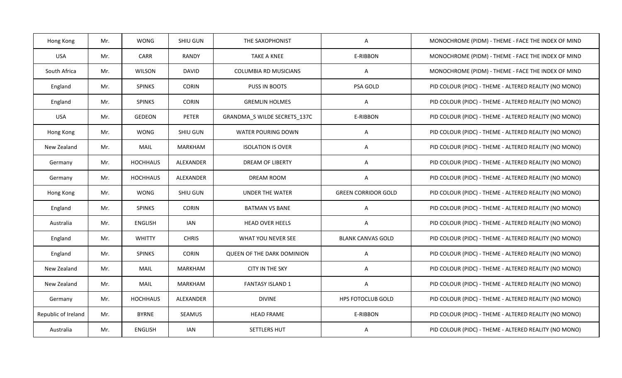| Hong Kong           | Mr. | <b>WONG</b>     | SHIU GUN       | THE SAXOPHONIST                   | A                          | MONOCHROME (PIDM) - THEME - FACE THE INDEX OF MIND    |
|---------------------|-----|-----------------|----------------|-----------------------------------|----------------------------|-------------------------------------------------------|
| <b>USA</b>          | Mr. | <b>CARR</b>     | <b>RANDY</b>   | <b>TAKE A KNEE</b>                | E-RIBBON                   | MONOCHROME (PIDM) - THEME - FACE THE INDEX OF MIND    |
| South Africa        | Mr. | WILSON          | DAVID          | <b>COLUMBIA RD MUSICIANS</b>      | A                          | MONOCHROME (PIDM) - THEME - FACE THE INDEX OF MIND    |
| England             | Mr. | <b>SPINKS</b>   | <b>CORIN</b>   | PUSS IN BOOTS                     | PSA GOLD                   | PID COLOUR (PIDC) - THEME - ALTERED REALITY (NO MONO) |
| England             | Mr. | <b>SPINKS</b>   | <b>CORIN</b>   | <b>GREMLIN HOLMES</b>             | A                          | PID COLOUR (PIDC) - THEME - ALTERED REALITY (NO MONO) |
| <b>USA</b>          | Mr. | <b>GEDEON</b>   | PETER          | GRANDMA_S WILDE SECRETS_137C      | E-RIBBON                   | PID COLOUR (PIDC) - THEME - ALTERED REALITY (NO MONO) |
| Hong Kong           | Mr. | <b>WONG</b>     | SHIU GUN       | WATER POURING DOWN                | Α                          | PID COLOUR (PIDC) - THEME - ALTERED REALITY (NO MONO) |
| New Zealand         | Mr. | <b>MAIL</b>     | <b>MARKHAM</b> | <b>ISOLATION IS OVER</b>          | A                          | PID COLOUR (PIDC) - THEME - ALTERED REALITY (NO MONO) |
| Germany             | Mr. | <b>HOCHHAUS</b> | ALEXANDER      | <b>DREAM OF LIBERTY</b>           | A                          | PID COLOUR (PIDC) - THEME - ALTERED REALITY (NO MONO) |
| Germany             | Mr. | <b>HOCHHAUS</b> | ALEXANDER      | <b>DREAM ROOM</b>                 | A                          | PID COLOUR (PIDC) - THEME - ALTERED REALITY (NO MONO) |
| Hong Kong           | Mr. | <b>WONG</b>     | SHIU GUN       | UNDER THE WATER                   | <b>GREEN CORRIDOR GOLD</b> | PID COLOUR (PIDC) - THEME - ALTERED REALITY (NO MONO) |
| England             | Mr. | <b>SPINKS</b>   | <b>CORIN</b>   | <b>BATMAN VS BANE</b>             | A                          | PID COLOUR (PIDC) - THEME - ALTERED REALITY (NO MONO) |
| Australia           | Mr. | <b>ENGLISH</b>  | <b>IAN</b>     | <b>HEAD OVER HEELS</b>            | Α                          | PID COLOUR (PIDC) - THEME - ALTERED REALITY (NO MONO) |
| England             | Mr. | <b>WHITTY</b>   | <b>CHRIS</b>   | WHAT YOU NEVER SEE                | <b>BLANK CANVAS GOLD</b>   | PID COLOUR (PIDC) - THEME - ALTERED REALITY (NO MONO) |
| England             | Mr. | <b>SPINKS</b>   | <b>CORIN</b>   | <b>QUEEN OF THE DARK DOMINION</b> | A                          | PID COLOUR (PIDC) - THEME - ALTERED REALITY (NO MONO) |
| New Zealand         | Mr. | <b>MAIL</b>     | <b>MARKHAM</b> | <b>CITY IN THE SKY</b>            | Α                          | PID COLOUR (PIDC) - THEME - ALTERED REALITY (NO MONO) |
| New Zealand         | Mr. | MAIL            | <b>MARKHAM</b> | <b>FANTASY ISLAND 1</b>           | Α                          | PID COLOUR (PIDC) - THEME - ALTERED REALITY (NO MONO) |
| Germany             | Mr. | <b>HOCHHAUS</b> | ALEXANDER      | <b>DIVINE</b>                     | HPS FOTOCLUB GOLD          | PID COLOUR (PIDC) - THEME - ALTERED REALITY (NO MONO) |
| Republic of Ireland | Mr. | <b>BYRNE</b>    | SEAMUS         | <b>HEAD FRAME</b>                 | E-RIBBON                   | PID COLOUR (PIDC) - THEME - ALTERED REALITY (NO MONO) |
| Australia           | Mr. | <b>ENGLISH</b>  | <b>IAN</b>     | SETTLERS HUT                      | A                          | PID COLOUR (PIDC) - THEME - ALTERED REALITY (NO MONO) |
|                     |     |                 |                |                                   |                            |                                                       |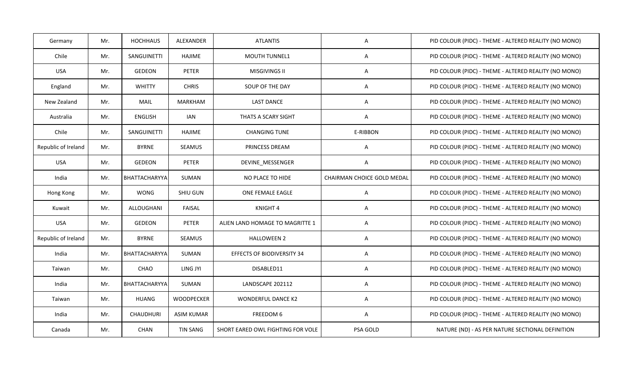| Germany             | Mr. | <b>HOCHHAUS</b>  | ALEXANDER         | <b>ATLANTIS</b>                   | A                          | PID COLOUR (PIDC) - THEME - ALTERED REALITY (NO MONO) |
|---------------------|-----|------------------|-------------------|-----------------------------------|----------------------------|-------------------------------------------------------|
| Chile               | Mr. | SANGUINETTI      | HAJIME            | <b>MOUTH TUNNEL1</b>              | A                          | PID COLOUR (PIDC) - THEME - ALTERED REALITY (NO MONO) |
| <b>USA</b>          | Mr. | <b>GEDEON</b>    | PETER             | <b>MISGIVINGS II</b>              | A                          | PID COLOUR (PIDC) - THEME - ALTERED REALITY (NO MONO) |
| England             | Mr. | <b>WHITTY</b>    | <b>CHRIS</b>      | SOUP OF THE DAY                   | A                          | PID COLOUR (PIDC) - THEME - ALTERED REALITY (NO MONO) |
| New Zealand         | Mr. | <b>MAIL</b>      | <b>MARKHAM</b>    | <b>LAST DANCE</b>                 | A                          | PID COLOUR (PIDC) - THEME - ALTERED REALITY (NO MONO) |
| Australia           | Mr. | <b>ENGLISH</b>   | <b>IAN</b>        | THATS A SCARY SIGHT               | Α                          | PID COLOUR (PIDC) - THEME - ALTERED REALITY (NO MONO) |
| Chile               | Mr. | SANGUINETTI      | <b>HAJIME</b>     | <b>CHANGING TUNE</b>              | E-RIBBON                   | PID COLOUR (PIDC) - THEME - ALTERED REALITY (NO MONO) |
| Republic of Ireland | Mr. | <b>BYRNE</b>     | SEAMUS            | <b>PRINCESS DREAM</b>             | Α                          | PID COLOUR (PIDC) - THEME - ALTERED REALITY (NO MONO) |
| <b>USA</b>          | Mr. | GEDEON           | PETER             | DEVINE MESSENGER                  | Α                          | PID COLOUR (PIDC) - THEME - ALTERED REALITY (NO MONO) |
| India               | Mr. | BHATTACHARYYA    | SUMAN             | NO PLACE TO HIDE                  | CHAIRMAN CHOICE GOLD MEDAL | PID COLOUR (PIDC) - THEME - ALTERED REALITY (NO MONO) |
| Hong Kong           | Mr. | <b>WONG</b>      | SHIU GUN          | <b>ONE FEMALE EAGLE</b>           | A                          | PID COLOUR (PIDC) - THEME - ALTERED REALITY (NO MONO) |
| Kuwait              | Mr. | ALLOUGHANI       | <b>FAISAL</b>     | KNIGHT 4                          | Α                          | PID COLOUR (PIDC) - THEME - ALTERED REALITY (NO MONO) |
| <b>USA</b>          | Mr. | GEDEON           | PETER             | ALIEN LAND HOMAGE TO MAGRITTE 1   | Α                          | PID COLOUR (PIDC) - THEME - ALTERED REALITY (NO MONO) |
| Republic of Ireland | Mr. | <b>BYRNE</b>     | SEAMUS            | <b>HALLOWEEN 2</b>                | Α                          | PID COLOUR (PIDC) - THEME - ALTERED REALITY (NO MONO) |
| India               | Mr. | BHATTACHARYYA    | SUMAN             | <b>EFFECTS OF BIODIVERSITY 34</b> | Α                          | PID COLOUR (PIDC) - THEME - ALTERED REALITY (NO MONO) |
| Taiwan              | Mr. | CHAO             | LING JYI          | DISABLED11                        | A                          | PID COLOUR (PIDC) - THEME - ALTERED REALITY (NO MONO) |
| India               | Mr. | BHATTACHARYYA    | SUMAN             | LANDSCAPE 202112                  | Α                          | PID COLOUR (PIDC) - THEME - ALTERED REALITY (NO MONO) |
| Taiwan              | Mr. | <b>HUANG</b>     | <b>WOODPECKER</b> | <b>WONDERFUL DANCE K2</b>         | Α                          | PID COLOUR (PIDC) - THEME - ALTERED REALITY (NO MONO) |
| India               | Mr. | <b>CHAUDHURI</b> | <b>ASIM KUMAR</b> | FREEDOM 6                         | A                          | PID COLOUR (PIDC) - THEME - ALTERED REALITY (NO MONO) |
| Canada              | Mr. | <b>CHAN</b>      | <b>TIN SANG</b>   | SHORT EARED OWL FIGHTING FOR VOLE | PSA GOLD                   | NATURE (ND) - AS PER NATURE SECTIONAL DEFINITION      |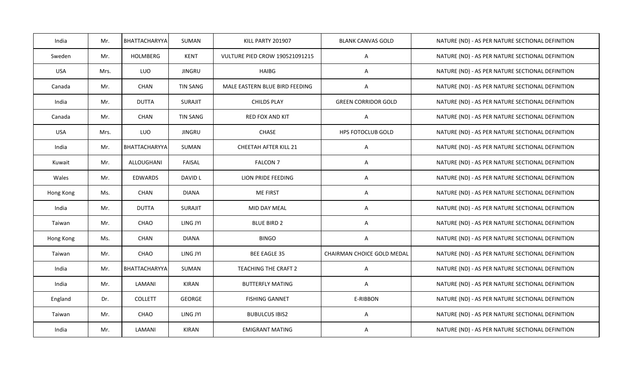| India      | Mr.  | BHATTACHARYYA  | <b>SUMAN</b>    | KILL PARTY 201907                     | <b>BLANK CANVAS GOLD</b>   | NATURE (ND) - AS PER NATURE SECTIONAL DEFINITION |
|------------|------|----------------|-----------------|---------------------------------------|----------------------------|--------------------------------------------------|
| Sweden     | Mr.  | HOLMBERG       | <b>KENT</b>     | <b>VULTURE PIED CROW 190521091215</b> | A                          | NATURE (ND) - AS PER NATURE SECTIONAL DEFINITION |
| <b>USA</b> | Mrs. | LUO            | <b>JINGRU</b>   | <b>HAIBG</b>                          | Α                          | NATURE (ND) - AS PER NATURE SECTIONAL DEFINITION |
| Canada     | Mr.  | CHAN           | <b>TIN SANG</b> | MALE EASTERN BLUE BIRD FEEDING        | A                          | NATURE (ND) - AS PER NATURE SECTIONAL DEFINITION |
| India      | Mr.  | <b>DUTTA</b>   | <b>SURAJIT</b>  | <b>CHILDS PLAY</b>                    | <b>GREEN CORRIDOR GOLD</b> | NATURE (ND) - AS PER NATURE SECTIONAL DEFINITION |
| Canada     | Mr.  | CHAN           | <b>TIN SANG</b> | RED FOX AND KIT                       | Α                          | NATURE (ND) - AS PER NATURE SECTIONAL DEFINITION |
| <b>USA</b> | Mrs. | LUO            | <b>JINGRU</b>   | CHASE                                 | HPS FOTOCLUB GOLD          | NATURE (ND) - AS PER NATURE SECTIONAL DEFINITION |
| India      | Mr.  | BHATTACHARYYA  | SUMAN           | CHEETAH AFTER KILL 21                 | Α                          | NATURE (ND) - AS PER NATURE SECTIONAL DEFINITION |
| Kuwait     | Mr.  | ALLOUGHANI     | FAISAL          | <b>FALCON 7</b>                       | A                          | NATURE (ND) - AS PER NATURE SECTIONAL DEFINITION |
| Wales      | Mr.  | <b>EDWARDS</b> | DAVID L         | LION PRIDE FEEDING                    | Α                          | NATURE (ND) - AS PER NATURE SECTIONAL DEFINITION |
| Hong Kong  | Ms.  | CHAN           | <b>DIANA</b>    | <b>ME FIRST</b>                       | A                          | NATURE (ND) - AS PER NATURE SECTIONAL DEFINITION |
| India      | Mr.  | <b>DUTTA</b>   | <b>SURAJIT</b>  | MID DAY MEAL                          | Α                          | NATURE (ND) - AS PER NATURE SECTIONAL DEFINITION |
| Taiwan     | Mr.  | CHAO           | LING JYI        | <b>BLUE BIRD 2</b>                    | A                          | NATURE (ND) - AS PER NATURE SECTIONAL DEFINITION |
| Hong Kong  | Ms.  | CHAN           | <b>DIANA</b>    | <b>BINGO</b>                          | A                          | NATURE (ND) - AS PER NATURE SECTIONAL DEFINITION |
| Taiwan     | Mr.  | CHAO           | LING JYI        | <b>BEE EAGLE 35</b>                   | CHAIRMAN CHOICE GOLD MEDAL | NATURE (ND) - AS PER NATURE SECTIONAL DEFINITION |
| India      | Mr.  | BHATTACHARYYA  | SUMAN           | TEACHING THE CRAFT 2                  | Α                          | NATURE (ND) - AS PER NATURE SECTIONAL DEFINITION |
| India      | Mr.  | LAMANI         | <b>KIRAN</b>    | <b>BUTTERFLY MATING</b>               | A                          | NATURE (ND) - AS PER NATURE SECTIONAL DEFINITION |
| England    | Dr.  | <b>COLLETT</b> | <b>GEORGE</b>   | <b>FISHING GANNET</b>                 | E-RIBBON                   | NATURE (ND) - AS PER NATURE SECTIONAL DEFINITION |
| Taiwan     | Mr.  | CHAO           | LING JYI        | <b>BUBULCUS IBIS2</b>                 | A                          | NATURE (ND) - AS PER NATURE SECTIONAL DEFINITION |
| India      | Mr.  | LAMANI         | <b>KIRAN</b>    | <b>EMIGRANT MATING</b>                | A                          | NATURE (ND) - AS PER NATURE SECTIONAL DEFINITION |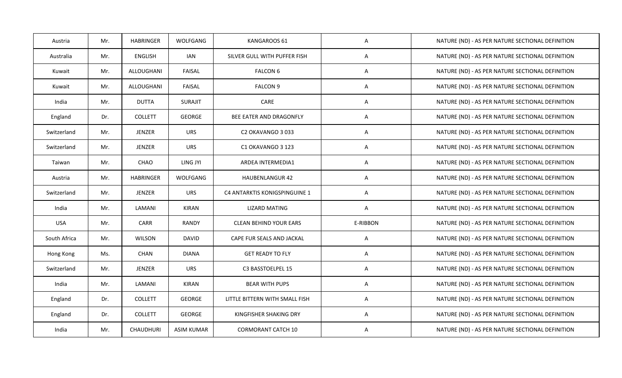| Austria      | Mr. | <b>HABRINGER</b> | WOLFGANG      | KANGAROOS 61                   | A        | NATURE (ND) - AS PER NATURE SECTIONAL DEFINITION |
|--------------|-----|------------------|---------------|--------------------------------|----------|--------------------------------------------------|
| Australia    | Mr. | <b>ENGLISH</b>   | <b>IAN</b>    | SILVER GULL WITH PUFFER FISH   | A        | NATURE (ND) - AS PER NATURE SECTIONAL DEFINITION |
| Kuwait       | Mr. | ALLOUGHANI       | <b>FAISAL</b> | <b>FALCON 6</b>                | A        | NATURE (ND) - AS PER NATURE SECTIONAL DEFINITION |
| Kuwait       | Mr. | ALLOUGHANI       | FAISAL        | <b>FALCON 9</b>                | Α        | NATURE (ND) - AS PER NATURE SECTIONAL DEFINITION |
| India        | Mr. | <b>DUTTA</b>     | SURAJIT       | CARE                           | A        | NATURE (ND) - AS PER NATURE SECTIONAL DEFINITION |
| England      | Dr. | <b>COLLETT</b>   | GEORGE        | BEE EATER AND DRAGONFLY        | Α        | NATURE (ND) - AS PER NATURE SECTIONAL DEFINITION |
| Switzerland  | Mr. | JENZER           | <b>URS</b>    | C2 OKAVANGO 3 033              | A        | NATURE (ND) - AS PER NATURE SECTIONAL DEFINITION |
| Switzerland  | Mr. | JENZER           | <b>URS</b>    | C1 OKAVANGO 3 123              | A        | NATURE (ND) - AS PER NATURE SECTIONAL DEFINITION |
| Taiwan       | Mr. | CHAO             | LING JYI      | ARDEA INTERMEDIA1              | A        | NATURE (ND) - AS PER NATURE SECTIONAL DEFINITION |
| Austria      | Mr. | <b>HABRINGER</b> | WOLFGANG      | <b>HAUBENLANGUR 42</b>         | Α        | NATURE (ND) - AS PER NATURE SECTIONAL DEFINITION |
| Switzerland  | Mr. | JENZER           | <b>URS</b>    | C4 ANTARKTIS KONIGSPINGUINE 1  | A        | NATURE (ND) - AS PER NATURE SECTIONAL DEFINITION |
| India        | Mr. | LAMANI           | <b>KIRAN</b>  | LIZARD MATING                  | A        | NATURE (ND) - AS PER NATURE SECTIONAL DEFINITION |
| <b>USA</b>   | Mr. | <b>CARR</b>      | RANDY         | <b>CLEAN BEHIND YOUR EARS</b>  | E-RIBBON | NATURE (ND) - AS PER NATURE SECTIONAL DEFINITION |
| South Africa | Mr. | WILSON           | <b>DAVID</b>  | CAPE FUR SEALS AND JACKAL      | Α        | NATURE (ND) - AS PER NATURE SECTIONAL DEFINITION |
| Hong Kong    | Ms. | CHAN             | <b>DIANA</b>  | <b>GET READY TO FLY</b>        | A        | NATURE (ND) - AS PER NATURE SECTIONAL DEFINITION |
| Switzerland  | Mr. | <b>JENZER</b>    | <b>URS</b>    | C3 BASSTOELPEL 15              | A        | NATURE (ND) - AS PER NATURE SECTIONAL DEFINITION |
| India        | Mr. | LAMANI           | <b>KIRAN</b>  | <b>BEAR WITH PUPS</b>          | Α        | NATURE (ND) - AS PER NATURE SECTIONAL DEFINITION |
| England      | Dr. | <b>COLLETT</b>   | GEORGE        | LITTLE BITTERN WITH SMALL FISH | A        | NATURE (ND) - AS PER NATURE SECTIONAL DEFINITION |
| England      | Dr. | <b>COLLETT</b>   | GEORGE        | KINGFISHER SHAKING DRY         | Α        | NATURE (ND) - AS PER NATURE SECTIONAL DEFINITION |
| India        | Mr. | <b>CHAUDHURI</b> | ASIM KUMAR    | <b>CORMORANT CATCH 10</b>      | A        | NATURE (ND) - AS PER NATURE SECTIONAL DEFINITION |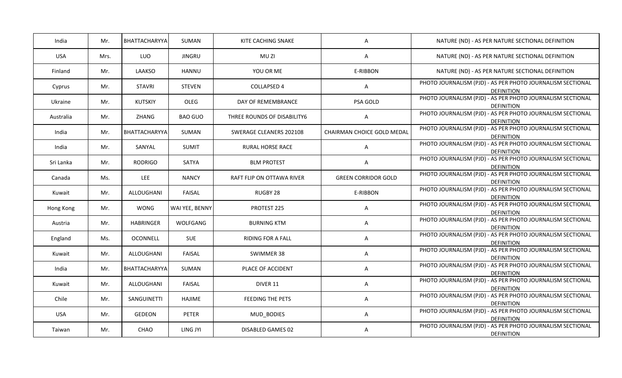| NATURE (ND) - AS PER NATURE SECTIONAL DEFINITION           |
|------------------------------------------------------------|
| NATURE (ND) - AS PER NATURE SECTIONAL DEFINITION           |
| NATURE (ND) - AS PER NATURE SECTIONAL DEFINITION           |
| PHOTO JOURNALISM (PJD) - AS PER PHOTO JOURNALISM SECTIONAL |
| PHOTO JOURNALISM (PJD) - AS PER PHOTO JOURNALISM SECTIONAL |
| PHOTO JOURNALISM (PJD) - AS PER PHOTO JOURNALISM SECTIONAL |
| PHOTO JOURNALISM (PJD) - AS PER PHOTO JOURNALISM SECTIONAL |
| PHOTO JOURNALISM (PJD) - AS PER PHOTO JOURNALISM SECTIONAL |
| PHOTO JOURNALISM (PJD) - AS PER PHOTO JOURNALISM SECTIONAL |
| PHOTO JOURNALISM (PJD) - AS PER PHOTO JOURNALISM SECTIONAL |
| PHOTO JOURNALISM (PJD) - AS PER PHOTO JOURNALISM SECTIONAL |
| PHOTO JOURNALISM (PJD) - AS PER PHOTO JOURNALISM SECTIONAL |
| PHOTO JOURNALISM (PJD) - AS PER PHOTO JOURNALISM SECTIONAL |
| PHOTO JOURNALISM (PJD) - AS PER PHOTO JOURNALISM SECTIONAL |
| PHOTO JOURNALISM (PJD) - AS PER PHOTO JOURNALISM SECTIONAL |
| PHOTO JOURNALISM (PJD) - AS PER PHOTO JOURNALISM SECTIONAL |
| PHOTO JOURNALISM (PJD) - AS PER PHOTO JOURNALISM SECTIONAL |
| PHOTO JOURNALISM (PJD) - AS PER PHOTO JOURNALISM SECTIONAL |
| PHOTO JOURNALISM (PJD) - AS PER PHOTO JOURNALISM SECTIONAL |
|                                                            |
|                                                            |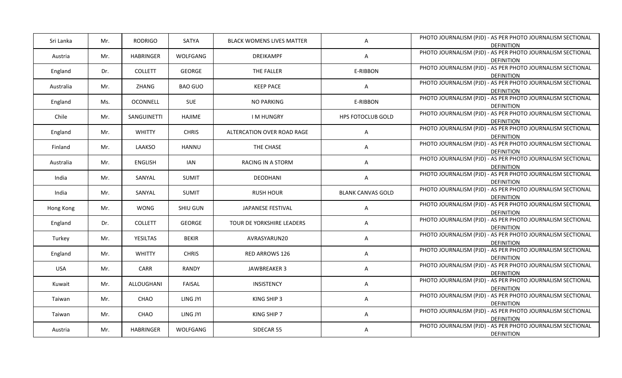| Mr. | <b>RODRIGO</b>   | SATYA          | <b>BLACK WOMENS LIVES MATTER</b> | A                                                 | PHOTO JOURNALISM (PJD) - AS PER PHOTO JOURNALISM SECTIONAL<br><b>DEFINITION</b> |
|-----|------------------|----------------|----------------------------------|---------------------------------------------------|---------------------------------------------------------------------------------|
| Mr. | <b>HABRINGER</b> | WOLFGANG       | <b>DREIKAMPF</b>                 | Α                                                 | PHOTO JOURNALISM (PJD) - AS PER PHOTO JOURNALISM SECTIONAL<br><b>DEFINITION</b> |
| Dr. | <b>COLLETT</b>   | GEORGE         | THE FALLER                       | E-RIBBON                                          | PHOTO JOURNALISM (PJD) - AS PER PHOTO JOURNALISM SECTIONAL<br><b>DEFINITION</b> |
| Mr. | ZHANG            | <b>BAO GUO</b> | <b>KEEP PACE</b>                 | $\mathsf{A}$                                      | PHOTO JOURNALISM (PJD) - AS PER PHOTO JOURNALISM SECTIONAL<br><b>DEFINITION</b> |
| Ms. | OCONNELL         | SUE            | <b>NO PARKING</b>                | E-RIBBON                                          | PHOTO JOURNALISM (PJD) - AS PER PHOTO JOURNALISM SECTIONAL<br><b>DEFINITION</b> |
| Mr. | SANGUINETTI      | HAJIME         | <b>IMHUNGRY</b>                  | <b>HPS FOTOCLUB GOLD</b>                          | PHOTO JOURNALISM (PJD) - AS PER PHOTO JOURNALISM SECTIONAL<br><b>DEFINITION</b> |
| Mr. | <b>WHITTY</b>    | <b>CHRIS</b>   | ALTERCATION OVER ROAD RAGE       | A                                                 | PHOTO JOURNALISM (PJD) - AS PER PHOTO JOURNALISM SECTIONAL<br><b>DEFINITION</b> |
| Mr. | LAAKSO           | HANNU          | THE CHASE                        | A                                                 | PHOTO JOURNALISM (PJD) - AS PER PHOTO JOURNALISM SECTIONAL<br><b>DEFINITION</b> |
| Mr. | <b>ENGLISH</b>   | <b>IAN</b>     | RACING IN A STORM                | A                                                 | PHOTO JOURNALISM (PJD) - AS PER PHOTO JOURNALISM SECTIONAL<br><b>DEFINITION</b> |
| Mr. | SANYAL           | <b>SUMIT</b>   | <b>DEODHANI</b>                  | A                                                 | PHOTO JOURNALISM (PJD) - AS PER PHOTO JOURNALISM SECTIONAL<br><b>DEFINITION</b> |
| Mr. | SANYAL           | <b>SUMIT</b>   | <b>RUSH HOUR</b>                 | <b>BLANK CANVAS GOLD</b>                          | PHOTO JOURNALISM (PJD) - AS PER PHOTO JOURNALISM SECTIONAL<br><b>DEFINITION</b> |
| Mr. | WONG             | SHIU GUN       | JAPANESE FESTIVAL                | A                                                 | PHOTO JOURNALISM (PJD) - AS PER PHOTO JOURNALISM SECTIONAL<br><b>DEFINITION</b> |
| Dr. | <b>COLLETT</b>   | GEORGE         | TOUR DE YORKSHIRE LEADERS        | A                                                 | PHOTO JOURNALISM (PJD) - AS PER PHOTO JOURNALISM SECTIONAL<br><b>DEFINITION</b> |
| Mr. | <b>YESILTAS</b>  | <b>BEKIR</b>   | AVRASYARUN20                     | A                                                 | PHOTO JOURNALISM (PJD) - AS PER PHOTO JOURNALISM SECTIONAL<br><b>DEFINITION</b> |
| Mr. | <b>WHITTY</b>    | <b>CHRIS</b>   | RED ARROWS 126                   | Α                                                 | PHOTO JOURNALISM (PJD) - AS PER PHOTO JOURNALISM SECTIONAL<br><b>DEFINITION</b> |
| Mr. | CARR             | RANDY          | JAWBREAKER 3                     | Α                                                 | PHOTO JOURNALISM (PJD) - AS PER PHOTO JOURNALISM SECTIONAL<br><b>DEFINITION</b> |
| Mr. | ALLOUGHANI       | FAISAL         | INSISTENCY                       | A                                                 | PHOTO JOURNALISM (PJD) - AS PER PHOTO JOURNALISM SECTIONAL<br><b>DEFINITION</b> |
| Mr. | CHAO             | LING JYI       | KING SHIP 3                      | Α                                                 | PHOTO JOURNALISM (PJD) - AS PER PHOTO JOURNALISM SECTIONAL<br><b>DEFINITION</b> |
| Mr. | CHAO             | LING JYI       | KING SHIP 7                      | A                                                 | PHOTO JOURNALISM (PJD) - AS PER PHOTO JOURNALISM SECTIONAL<br><b>DEFINITION</b> |
|     |                  |                |                                  | Α                                                 | PHOTO JOURNALISM (PJD) - AS PER PHOTO JOURNALISM SECTIONAL                      |
|     |                  |                |                                  | Mr.<br><b>HABRINGER</b><br>WOLFGANG<br>SIDECAR 55 |                                                                                 |